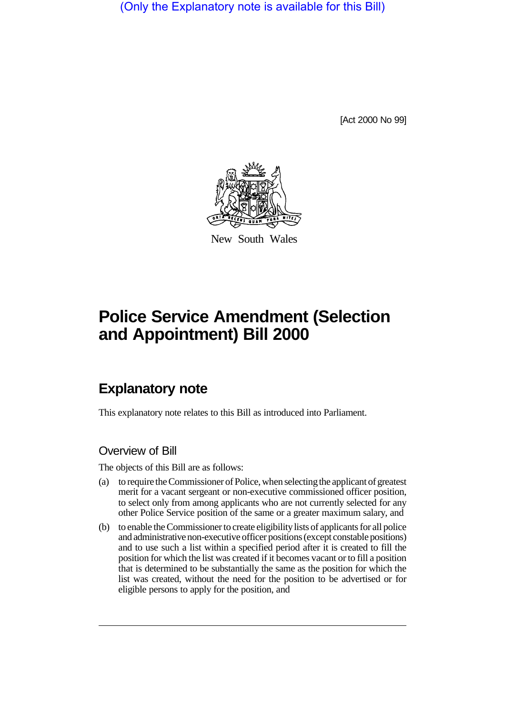(Only the Explanatory note is available for this Bill)

[Act 2000 No 99]



New South Wales

# **Police Service Amendment (Selection and Appointment) Bill 2000**

## **Explanatory note**

This explanatory note relates to this Bill as introduced into Parliament.

#### Overview of Bill

The objects of this Bill are as follows:

- (a) to require the Commissioner of Police, when selecting the applicant of greatest merit for a vacant sergeant or non-executive commissioned officer position, to select only from among applicants who are not currently selected for any other Police Service position of the same or a greater maximum salary, and
- (b) to enable the Commissioner to create eligibility lists of applicants for all police and administrative non-executive officer positions (except constable positions) and to use such a list within a specified period after it is created to fill the position for which the list was created if it becomes vacant or to fill a position that is determined to be substantially the same as the position for which the list was created, without the need for the position to be advertised or for eligible persons to apply for the position, and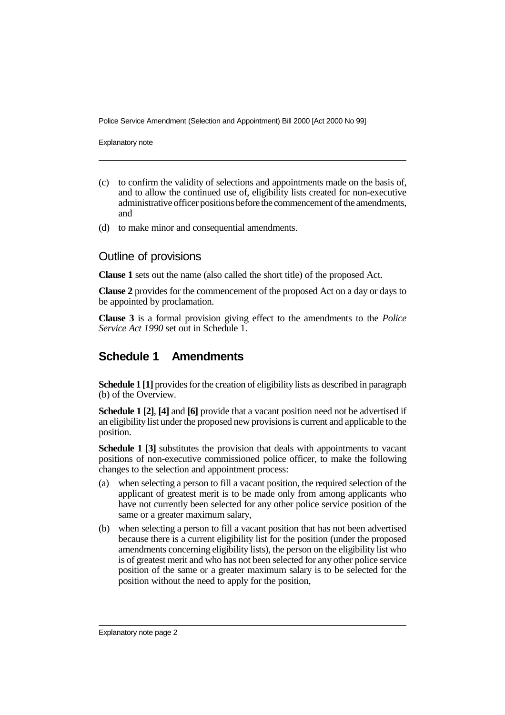Police Service Amendment (Selection and Appointment) Bill 2000 [Act 2000 No 99]

Explanatory note

- (c) to confirm the validity of selections and appointments made on the basis of, and to allow the continued use of, eligibility lists created for non-executive administrative officer positions before the commencement of the amendments, and
- (d) to make minor and consequential amendments.

#### Outline of provisions

**Clause 1** sets out the name (also called the short title) of the proposed Act.

**Clause 2** provides for the commencement of the proposed Act on a day or days to be appointed by proclamation.

**Clause 3** is a formal provision giving effect to the amendments to the *Police Service Act 1990* set out in Schedule 1.

### **Schedule 1 Amendments**

**Schedule 1 [1]** provides for the creation of eligibility lists as described in paragraph (b) of the Overview.

**Schedule 1 [2]**, **[4]** and **[6]** provide that a vacant position need not be advertised if an eligibility list under the proposed new provisions is current and applicable to the position.

**Schedule 1 [3]** substitutes the provision that deals with appointments to vacant positions of non-executive commissioned police officer, to make the following changes to the selection and appointment process:

- (a) when selecting a person to fill a vacant position, the required selection of the applicant of greatest merit is to be made only from among applicants who have not currently been selected for any other police service position of the same or a greater maximum salary,
- (b) when selecting a person to fill a vacant position that has not been advertised because there is a current eligibility list for the position (under the proposed amendments concerning eligibility lists), the person on the eligibility list who is of greatest merit and who has not been selected for any other police service position of the same or a greater maximum salary is to be selected for the position without the need to apply for the position,